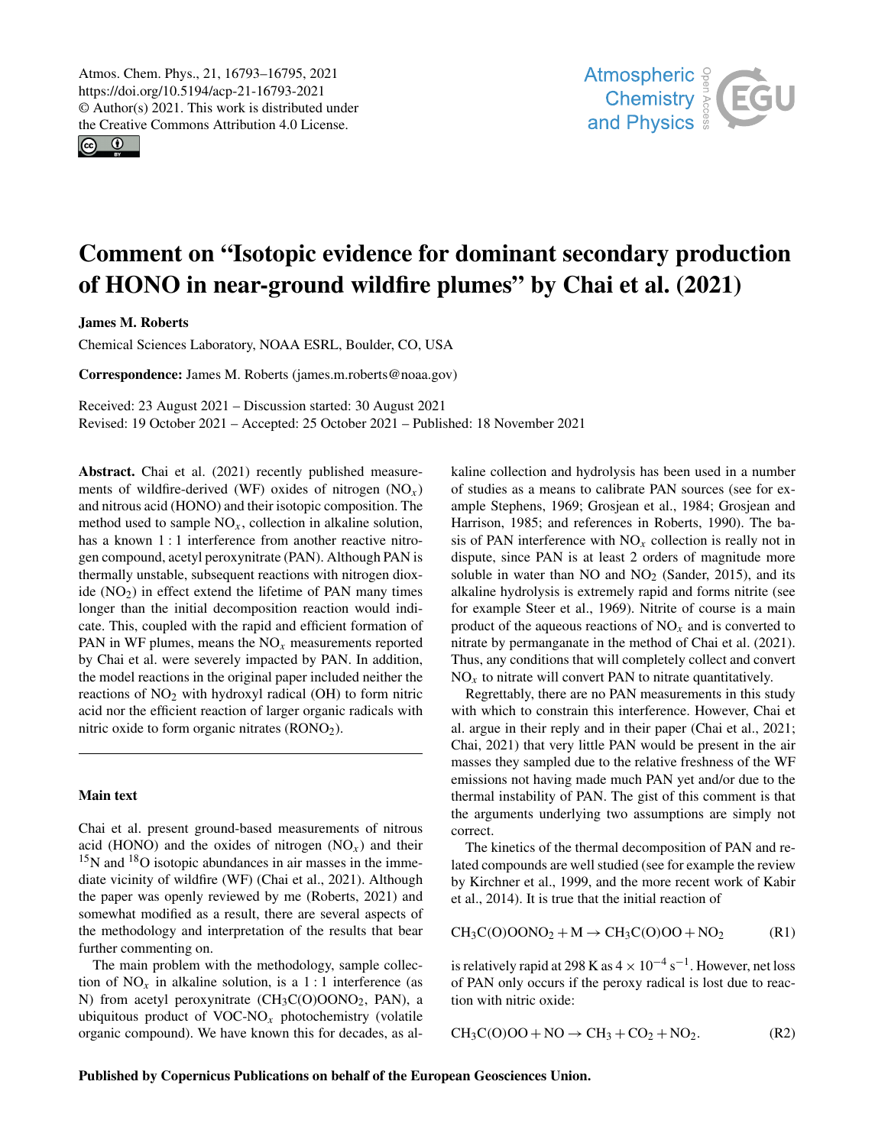Atmos. Chem. Phys., 21, 16793–16795, 2021 https://doi.org/10.5194/acp-21-16793-2021 © Author(s) 2021. This work is distributed under the Creative Commons Attribution 4.0 License.

 $\circledcirc$ 



## Comment on "Isotopic evidence for dominant secondary production of HONO in near-ground wildfire plumes" by Chai et al. (2021)

James M. Roberts

Chemical Sciences Laboratory, NOAA ESRL, Boulder, CO, USA

Correspondence: James M. Roberts (james.m.roberts@noaa.gov)

Received: 23 August 2021 – Discussion started: 30 August 2021 Revised: 19 October 2021 – Accepted: 25 October 2021 – Published: 18 November 2021

Abstract. Chai et al. (2021) recently published measurements of wildfire-derived (WF) oxides of nitrogen  $(NO<sub>x</sub>)$ and nitrous acid (HONO) and their isotopic composition. The method used to sample  $NO<sub>x</sub>$ , collection in alkaline solution, has a known 1 : 1 interference from another reactive nitrogen compound, acetyl peroxynitrate (PAN). Although PAN is thermally unstable, subsequent reactions with nitrogen dioxide  $(NO<sub>2</sub>)$  in effect extend the lifetime of PAN many times longer than the initial decomposition reaction would indicate. This, coupled with the rapid and efficient formation of PAN in WF plumes, means the  $NO<sub>x</sub>$  measurements reported by Chai et al. were severely impacted by PAN. In addition, the model reactions in the original paper included neither the reactions of  $NO<sub>2</sub>$  with hydroxyl radical (OH) to form nitric acid nor the efficient reaction of larger organic radicals with nitric oxide to form organic nitrates (RONO2).

## Main text

Chai et al. present ground-based measurements of nitrous acid (HONO) and the oxides of nitrogen  $(NO<sub>x</sub>)$  and their <sup>15</sup>N and <sup>18</sup>O isotopic abundances in air masses in the immediate vicinity of wildfire (WF) (Chai et al., 2021). Although the paper was openly reviewed by me (Roberts, 2021) and somewhat modified as a result, there are several aspects of the methodology and interpretation of the results that bear further commenting on.

The main problem with the methodology, sample collection of  $NO<sub>x</sub>$  in alkaline solution, is a 1 : 1 interference (as N) from acetyl peroxynitrate (CH3C(O)OONO2, PAN), a ubiquitous product of  $VOC-NO<sub>x</sub>$  photochemistry (volatile organic compound). We have known this for decades, as alkaline collection and hydrolysis has been used in a number of studies as a means to calibrate PAN sources (see for example Stephens, 1969; Grosjean et al., 1984; Grosjean and Harrison, 1985; and references in Roberts, 1990). The basis of PAN interference with  $NO<sub>x</sub>$  collection is really not in dispute, since PAN is at least 2 orders of magnitude more soluble in water than  $NO$  and  $NO<sub>2</sub>$  (Sander, 2015), and its alkaline hydrolysis is extremely rapid and forms nitrite (see for example Steer et al., 1969). Nitrite of course is a main product of the aqueous reactions of  $NO<sub>x</sub>$  and is converted to nitrate by permanganate in the method of Chai et al. (2021). Thus, any conditions that will completely collect and convert  $NO<sub>x</sub>$  to nitrate will convert PAN to nitrate quantitatively.

Regrettably, there are no PAN measurements in this study with which to constrain this interference. However, Chai et al. argue in their reply and in their paper (Chai et al., 2021; Chai, 2021) that very little PAN would be present in the air masses they sampled due to the relative freshness of the WF emissions not having made much PAN yet and/or due to the thermal instability of PAN. The gist of this comment is that the arguments underlying two assumptions are simply not correct.

The kinetics of the thermal decomposition of PAN and related compounds are well studied (see for example the review by Kirchner et al., 1999, and the more recent work of Kabir et al., 2014). It is true that the initial reaction of

$$
CH_3C(0)OONO_2 + M \rightarrow CH_3C(0)OO + NO_2
$$
 (R1)

is relatively rapid at 298 K as  $4 \times 10^{-4}$  s<sup>-1</sup>. However, net loss of PAN only occurs if the peroxy radical is lost due to reaction with nitric oxide:

$$
CH_3C(0)OO + NO \rightarrow CH_3 + CO_2 + NO_2. \tag{R2}
$$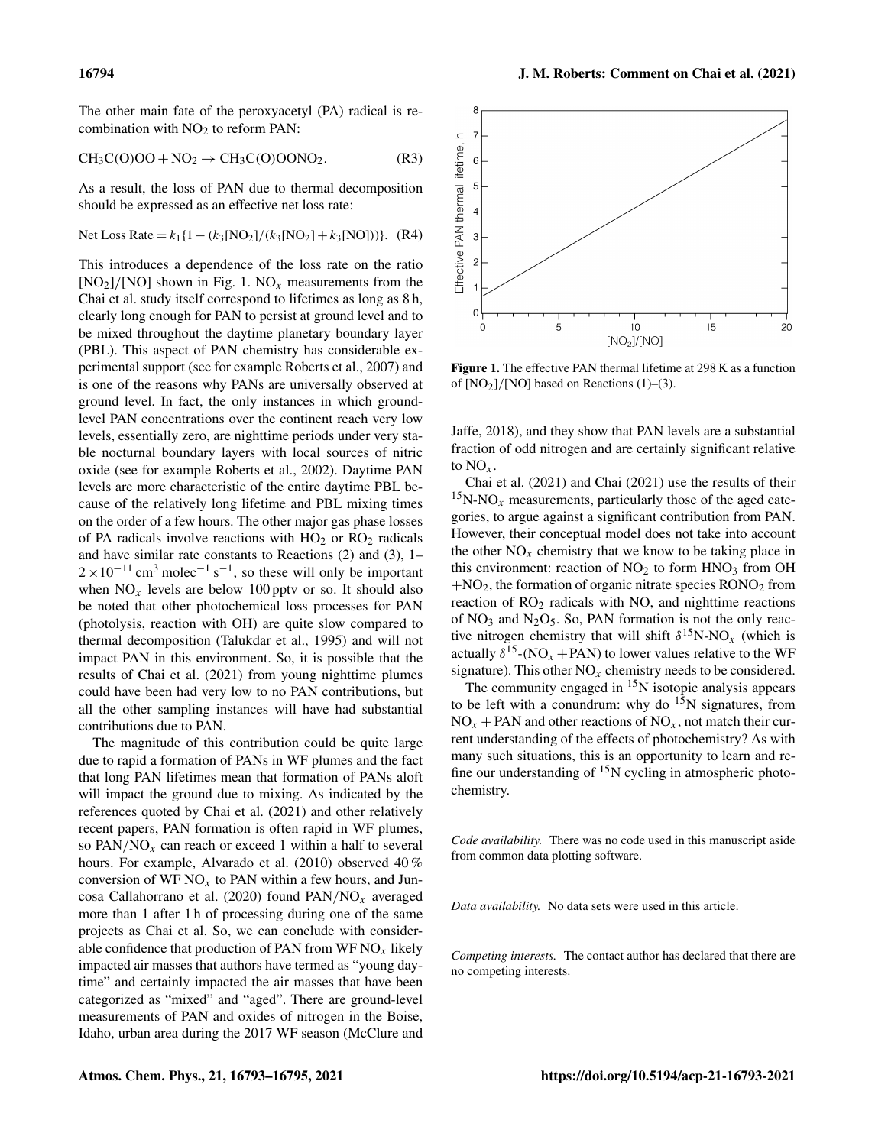The other main fate of the peroxyacetyl (PA) radical is recombination with NO<sub>2</sub> to reform PAN:

$$
CH_3C(0)OO + NO_2 \rightarrow CH_3C(0)OONO_2. \tag{R3}
$$

As a result, the loss of PAN due to thermal decomposition should be expressed as an effective net loss rate:

Net Loss Rate = 
$$
k_1
$$
{1 – ( $k_3$ [NO<sub>2</sub>]/( $k_3$ [NO<sub>2</sub>] +  $k_3$ [NO]))}. (R4)

This introduces a dependence of the loss rate on the ratio  $[NO<sub>2</sub>]/[NO]$  shown in Fig. 1. NO<sub>x</sub> measurements from the Chai et al. study itself correspond to lifetimes as long as 8 h, clearly long enough for PAN to persist at ground level and to be mixed throughout the daytime planetary boundary layer (PBL). This aspect of PAN chemistry has considerable experimental support (see for example Roberts et al., 2007) and is one of the reasons why PANs are universally observed at ground level. In fact, the only instances in which groundlevel PAN concentrations over the continent reach very low levels, essentially zero, are nighttime periods under very stable nocturnal boundary layers with local sources of nitric oxide (see for example Roberts et al., 2002). Daytime PAN levels are more characteristic of the entire daytime PBL because of the relatively long lifetime and PBL mixing times on the order of a few hours. The other major gas phase losses of PA radicals involve reactions with  $HO<sub>2</sub>$  or  $RO<sub>2</sub>$  radicals and have similar rate constants to Reactions (2) and (3), 1–  $2 \times 10^{-11}$  cm<sup>3</sup> molec<sup>-1</sup> s<sup>-1</sup>, so these will only be important when  $NO<sub>x</sub>$  levels are below 100 pptv or so. It should also be noted that other photochemical loss processes for PAN (photolysis, reaction with OH) are quite slow compared to thermal decomposition (Talukdar et al., 1995) and will not impact PAN in this environment. So, it is possible that the results of Chai et al. (2021) from young nighttime plumes could have been had very low to no PAN contributions, but all the other sampling instances will have had substantial contributions due to PAN.

The magnitude of this contribution could be quite large due to rapid a formation of PANs in WF plumes and the fact that long PAN lifetimes mean that formation of PANs aloft will impact the ground due to mixing. As indicated by the references quoted by Chai et al. (2021) and other relatively recent papers, PAN formation is often rapid in WF plumes, so  $PAN/NO<sub>x</sub>$  can reach or exceed 1 within a half to several hours. For example, Alvarado et al. (2010) observed 40 % conversion of WF  $NO<sub>x</sub>$  to PAN within a few hours, and Juncosa Callahorrano et al. (2020) found  $PAN/NO<sub>x</sub>$  averaged more than 1 after 1 h of processing during one of the same projects as Chai et al. So, we can conclude with considerable confidence that production of PAN from  $WF NO_x$  likely impacted air masses that authors have termed as "young daytime" and certainly impacted the air masses that have been categorized as "mixed" and "aged". There are ground-level measurements of PAN and oxides of nitrogen in the Boise, Idaho, urban area during the 2017 WF season (McClure and



Figure 1. The effective PAN thermal lifetime at 298 K as a function of  $[NO<sub>2</sub>]/[NO]$  based on Reactions (1)–(3).

Jaffe, 2018), and they show that PAN levels are a substantial fraction of odd nitrogen and are certainly significant relative to  $NO_x$ .

Chai et al. (2021) and Chai (2021) use the results of their  $15N-NO<sub>x</sub>$  measurements, particularly those of the aged categories, to argue against a significant contribution from PAN. However, their conceptual model does not take into account the other  $NO<sub>x</sub>$  chemistry that we know to be taking place in this environment: reaction of  $NO<sub>2</sub>$  to form  $HNO<sub>3</sub>$  from OH  $+NO<sub>2</sub>$ , the formation of organic nitrate species  $RONO<sub>2</sub>$  from reaction of  $RO<sub>2</sub>$  radicals with NO, and nighttime reactions of  $NO<sub>3</sub>$  and  $N<sub>2</sub>O<sub>5</sub>$ . So, PAN formation is not the only reactive nitrogen chemistry that will shift  $\delta^{15}$ N-NO<sub>x</sub> (which is actually  $\delta^{15}$ -(NO<sub>x</sub> + PAN) to lower values relative to the WF signature). This other  $NO<sub>x</sub>$  chemistry needs to be considered.

The community engaged in  $15N$  isotopic analysis appears to be left with a conundrum: why do  $15N$  signatures, from  $NO<sub>x</sub> + PAN$  and other reactions of  $NO<sub>x</sub>$ , not match their current understanding of the effects of photochemistry? As with many such situations, this is an opportunity to learn and refine our understanding of  $^{15}N$  cycling in atmospheric photochemistry.

*Code availability.* There was no code used in this manuscript aside from common data plotting software.

*Data availability.* No data sets were used in this article.

*Competing interests.* The contact author has declared that there are no competing interests.